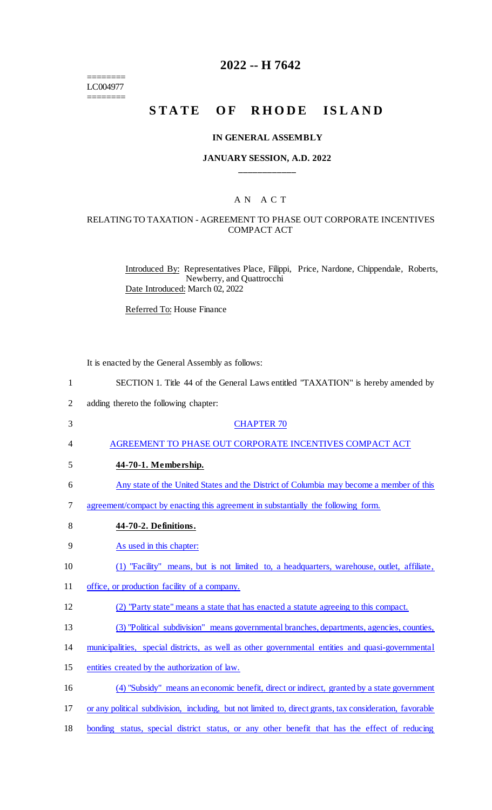======== LC004977 ========

# **2022 -- H 7642**

# STATE OF RHODE ISLAND

#### **IN GENERAL ASSEMBLY**

#### **JANUARY SESSION, A.D. 2022 \_\_\_\_\_\_\_\_\_\_\_\_**

## A N A C T

#### RELATING TO TAXATION - AGREEMENT TO PHASE OUT CORPORATE INCENTIVES COMPACT ACT

Introduced By: Representatives Place, Filippi, Price, Nardone, Chippendale, Roberts, Newberry, and Quattrocchi Date Introduced: March 02, 2022

Referred To: House Finance

It is enacted by the General Assembly as follows:

| $\mathbf{1}$   | SECTION 1. Title 44 of the General Laws entitled "TAXATION" is hereby amended by                         |
|----------------|----------------------------------------------------------------------------------------------------------|
| $\overline{2}$ | adding thereto the following chapter:                                                                    |
| 3              | <b>CHAPTER 70</b>                                                                                        |
| 4              | AGREEMENT TO PHASE OUT CORPORATE INCENTIVES COMPACT ACT                                                  |
| 5              | 44-70-1. Membership.                                                                                     |
| 6              | Any state of the United States and the District of Columbia may become a member of this                  |
| 7              | agreement/compact by enacting this agreement in substantially the following form.                        |
| 8              | 44-70-2. Definitions.                                                                                    |
| 9              | As used in this chapter:                                                                                 |
| 10             | (1) "Facility" means, but is not limited to, a headquarters, warehouse, outlet, affiliate,               |
| 11             | office, or production facility of a company.                                                             |
| 12             | (2) "Party state" means a state that has enacted a statute agreeing to this compact.                     |
| 13             | (3) "Political subdivision" means governmental branches, departments, agencies, counties,                |
| 14             | municipalities, special districts, as well as other governmental entities and quasi-governmental         |
| 15             | entities created by the authorization of law.                                                            |
| 16             | (4) "Subsidy" means an economic benefit, direct or indirect, granted by a state government               |
| 17             | or any political subdivision, including, but not limited to, direct grants, tax consideration, favorable |
| 18             | bonding status, special district status, or any other benefit that has the effect of reducing            |
|                |                                                                                                          |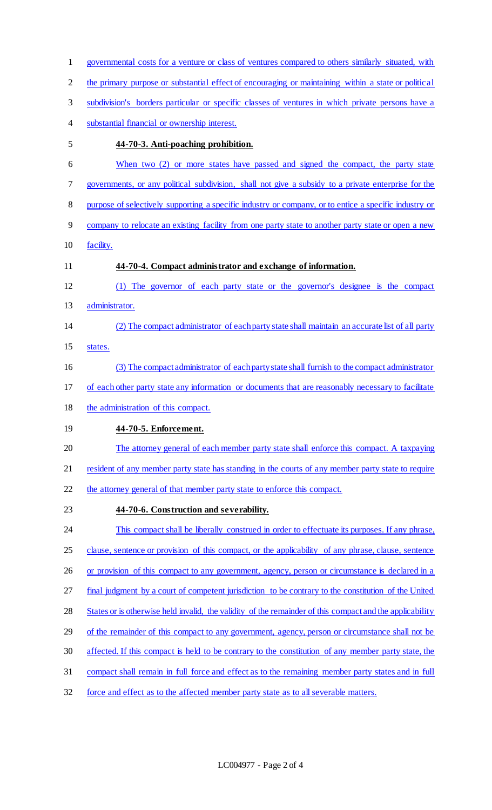| $\mathbf{1}$   | governmental costs for a venture or class of ventures compared to others similarly situated, with        |
|----------------|----------------------------------------------------------------------------------------------------------|
| $\overline{2}$ | the primary purpose or substantial effect of encouraging or maintaining within a state or political      |
| 3              | subdivision's borders particular or specific classes of ventures in which private persons have a         |
| 4              | substantial financial or ownership interest.                                                             |
| 5              | 44-70-3. Anti-poaching prohibition.                                                                      |
| 6              | When two (2) or more states have passed and signed the compact, the party state                          |
| 7              | governments, or any political subdivision, shall not give a subsidy to a private enterprise for the      |
| 8              | purpose of selectively supporting a specific industry or company, or to entice a specific industry or    |
| 9              | company to relocate an existing facility from one party state to another party state or open a new       |
| 10             | facility.                                                                                                |
| 11             | 44-70-4. Compact administrator and exchange of information.                                              |
| 12             | (1) The governor of each party state or the governor's designee is the compact                           |
| 13             | administrator.                                                                                           |
| 14             | (2) The compact administrator of each party state shall maintain an accurate list of all party           |
| 15             | states.                                                                                                  |
| 16             | (3) The compact administrator of each party state shall furnish to the compact administrator             |
| 17             | of each other party state any information or documents that are reasonably necessary to facilitate       |
| 18             | the administration of this compact.                                                                      |
| 19             | 44-70-5. Enforcement.                                                                                    |
| 20             | The attorney general of each member party state shall enforce this compact. A taxpaying                  |
| 21             | resident of any member party state has standing in the courts of any member party state to require       |
| 22             | the attorney general of that member party state to enforce this compact.                                 |
| 23             | 44-70-6. Construction and severability.                                                                  |
| 24             | This compact shall be liberally construed in order to effectuate its purposes. If any phrase,            |
| 25             | clause, sentence or provision of this compact, or the applicability of any phrase, clause, sentence      |
| 26             | or provision of this compact to any government, agency, person or circumstance is declared in a          |
| 27             | final judgment by a court of competent jurisdiction to be contrary to the constitution of the United     |
| 28             | States or is otherwise held invalid, the validity of the remainder of this compact and the applicability |
| 29             | of the remainder of this compact to any government, agency, person or circumstance shall not be          |
| 30             | affected. If this compact is held to be contrary to the constitution of any member party state, the      |
| 31             | compact shall remain in full force and effect as to the remaining member party states and in full        |
| 32             | force and effect as to the affected member party state as to all severable matters.                      |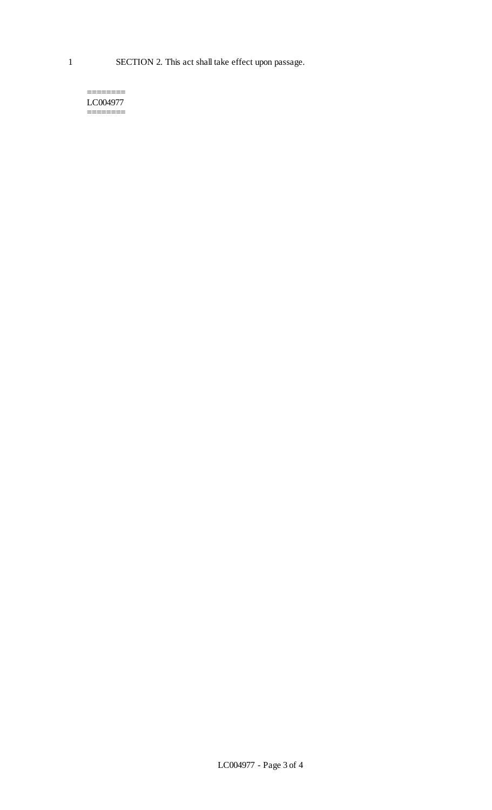======== LC004977 ========